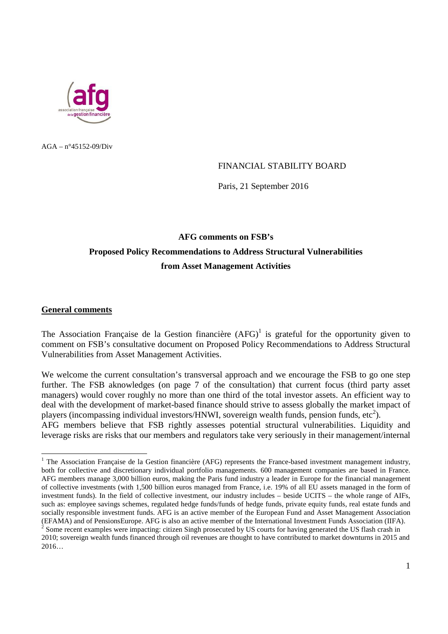

 $AGA - n^{\circ}45152 - 09/Div$ 

### FINANCIAL STABILITY BOARD

Paris, 21 September 2016

# **AFG comments on FSB's Proposed Policy Recommendations to Address Structural Vulnerabilities from Asset Management Activities**

#### **General comments**

The Association Française de la Gestion financière  $(AFG)^{1}$  is grateful for the opportunity given to comment on FSB's consultative document on Proposed Policy Recommendations to Address Structural Vulnerabilities from Asset Management Activities.

We welcome the current consultation's transversal approach and we encourage the FSB to go one step further. The FSB aknowledges (on page 7 of the consultation) that current focus (third party asset managers) would cover roughly no more than one third of the total investor assets. An efficient way to deal with the development of market-based finance should strive to assess globally the market impact of players (incompassing individual investors/HNWI, sovereign wealth funds, pension funds, etc<sup>2</sup>). AFG members believe that FSB rightly assesses potential structural vulnerabilities. Liquidity and leverage risks are risks that our members and regulators take very seriously in their management/internal

The Association Française de la Gestion financière (AFG) represents the France-based investment management industry, both for collective and discretionary individual portfolio managements. 600 management companies are based in France. AFG members manage 3,000 billion euros, making the Paris fund industry a leader in Europe for the financial management of collective investments (with 1,500 billion euros managed from France, i.e. 19% of all EU assets managed in the form of investment funds). In the field of collective investment, our industry includes – beside UCITS – the whole range of AIFs, such as: employee savings schemes, regulated hedge funds/funds of hedge funds, private equity funds, real estate funds and socially responsible investment funds. AFG is an active member of the European Fund and Asset Management Association (EFAMA) and of PensionsEurope. AFG is also an active member of the International Investment Funds Association (IIFA).

 $2^{2}$  Some recent examples were impacting: citizen Singh prosecuted by US courts for having generated the US flash crash in 2010; sovereign wealth funds financed through oil revenues are thought to have contributed to market downturns in 2015 and 2016…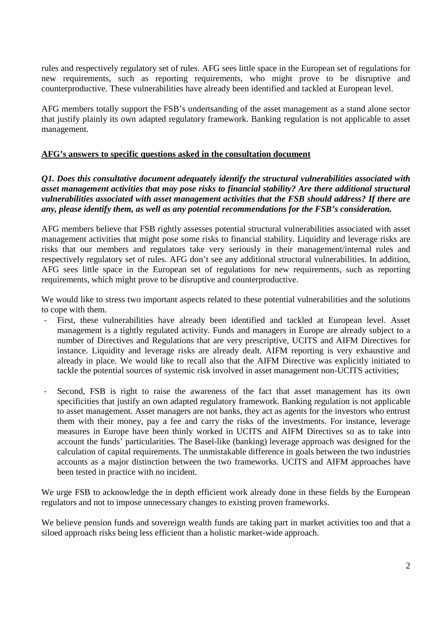rules and respectively regulatory set of rules. AFG sees little space in the European set of regulations for new requirements, such as reporting requirements, who might prove to be disruptive and counterproductive. These vulnerabilities have already been identified and tackled at European level.

AFG members totally support the FSB's undertsanding of the asset management as a stand alone sector that justify plainly its own adapted regulatory framework. Banking regulation is not applicable to asset management.

#### **AFG's answers to specific questions asked in the consultation document**

*Q1. Does this consultative document adequately identify the structural vulnerabilities associated with asset management activities that may pose risks to financial stability? Are there additional structural vulnerabilities associated with asset management activities that the FSB should address? If there are any, please identify them, as well as any potential recommendations for the FSB's consideration.* 

AFG members believe that FSB rightly assesses potential structural vulnerabilities associated with asset management activities that might pose some risks to financial stability. Liquidity and leverage risks are risks that our members and regulators take very seriously in their management/internal rules and respectively regulatory set of rules. AFG don't see any additional structural vulnerabilities. In addition, AFG sees little space in the European set of regulations for new requirements, such as reporting requirements, which might prove to be disruptive and counterproductive.

We would like to stress two important aspects related to these potential vulnerabilities and the solutions to cope with them.

- First, these vulnerabilities have already been identified and tackled at European level. Asset management is a tightly regulated activity. Funds and managers in Europe are already subject to a number of Directives and Regulations that are very prescriptive, UCITS and AIFM Directives for instance. Liquidity and leverage risks are already dealt. AIFM reporting is very exhaustive and already in place. We would like to recall also that the AIFM Directive was explicitly initiated to tackle the potential sources of systemic risk involved in asset management non-UCITS activities;
- Second, FSB is right to raise the awareness of the fact that asset management has its own specificities that justify an own adapted regulatory framework. Banking regulation is not applicable to asset management. Asset managers are not banks, they act as agents for the investors who entrust them with their money, pay a fee and carry the risks of the investments. For instance, leverage measures in Europe have been thinly worked in UCITS and AIFM Directives so as to take into account the funds' particularities. The Basel-like (banking) leverage approach was designed for the calculation of capital requirements. The unmistakable difference in goals between the two industries accounts as a major distinction between the two frameworks. UCITS and AIFM approaches have been tested in practice with no incident.

We urge FSB to acknowledge the in depth efficient work already done in these fields by the European regulators and not to impose unnecessary changes to existing proven frameworks.

We believe pension funds and sovereign wealth funds are taking part in market activities too and that a siloed approach risks being less efficient than a holistic market-wide approach.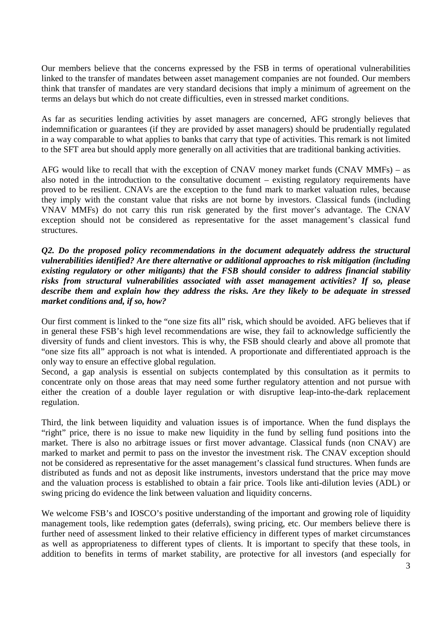Our members believe that the concerns expressed by the FSB in terms of operational vulnerabilities linked to the transfer of mandates between asset management companies are not founded. Our members think that transfer of mandates are very standard decisions that imply a minimum of agreement on the terms an delays but which do not create difficulties, even in stressed market conditions.

As far as securities lending activities by asset managers are concerned, AFG strongly believes that indemnification or guarantees (if they are provided by asset managers) should be prudentially regulated in a way comparable to what applies to banks that carry that type of activities. This remark is not limited to the SFT area but should apply more generally on all activities that are traditional banking activities.

AFG would like to recall that with the exception of CNAV money market funds (CNAV MMFs) – as also noted in the introduction to the consultative document – existing regulatory requirements have proved to be resilient. CNAVs are the exception to the fund mark to market valuation rules, because they imply with the constant value that risks are not borne by investors. Classical funds (including VNAV MMFs) do not carry this run risk generated by the first mover's advantage. The CNAV exception should not be considered as representative for the asset management's classical fund structures.

*Q2. Do the proposed policy recommendations in the document adequately address the structural vulnerabilities identified? Are there alternative or additional approaches to risk mitigation (including existing regulatory or other mitigants) that the FSB should consider to address financial stability risks from structural vulnerabilities associated with asset management activities? If so, please describe them and explain how they address the risks. Are they likely to be adequate in stressed market conditions and, if so, how?* 

Our first comment is linked to the "one size fits all" risk, which should be avoided. AFG believes that if in general these FSB's high level recommendations are wise, they fail to acknowledge sufficiently the diversity of funds and client investors. This is why, the FSB should clearly and above all promote that "one size fits all" approach is not what is intended. A proportionate and differentiated approach is the only way to ensure an effective global regulation.

Second, a gap analysis is essential on subjects contemplated by this consultation as it permits to concentrate only on those areas that may need some further regulatory attention and not pursue with either the creation of a double layer regulation or with disruptive leap-into-the-dark replacement regulation.

Third, the link between liquidity and valuation issues is of importance. When the fund displays the "right" price, there is no issue to make new liquidity in the fund by selling fund positions into the market. There is also no arbitrage issues or first mover advantage. Classical funds (non CNAV) are marked to market and permit to pass on the investor the investment risk. The CNAV exception should not be considered as representative for the asset management's classical fund structures. When funds are distributed as funds and not as deposit like instruments, investors understand that the price may move and the valuation process is established to obtain a fair price. Tools like anti-dilution levies (ADL) or swing pricing do evidence the link between valuation and liquidity concerns.

We welcome FSB's and IOSCO's positive understanding of the important and growing role of liquidity management tools, like redemption gates (deferrals), swing pricing, etc. Our members believe there is further need of assessment linked to their relative efficiency in different types of market circumstances as well as appropriateness to different types of clients. It is important to specify that these tools, in addition to benefits in terms of market stability, are protective for all investors (and especially for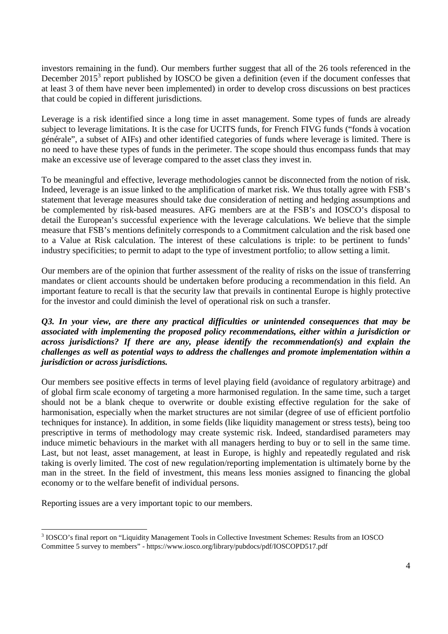investors remaining in the fund). Our members further suggest that all of the 26 tools referenced in the December  $2015<sup>3</sup>$  report published by IOSCO be given a definition (even if the document confesses that at least 3 of them have never been implemented) in order to develop cross discussions on best practices that could be copied in different jurisdictions.

Leverage is a risk identified since a long time in asset management. Some types of funds are already subject to leverage limitations. It is the case for UCITS funds, for French FIVG funds ("fonds à vocation générale", a subset of AIFs) and other identified categories of funds where leverage is limited. There is no need to have these types of funds in the perimeter. The scope should thus encompass funds that may make an excessive use of leverage compared to the asset class they invest in.

To be meaningful and effective, leverage methodologies cannot be disconnected from the notion of risk. Indeed, leverage is an issue linked to the amplification of market risk. We thus totally agree with FSB's statement that leverage measures should take due consideration of netting and hedging assumptions and be complemented by risk-based measures. AFG members are at the FSB's and IOSCO's disposal to detail the European's successful experience with the leverage calculations. We believe that the simple measure that FSB's mentions definitely corresponds to a Commitment calculation and the risk based one to a Value at Risk calculation. The interest of these calculations is triple: to be pertinent to funds' industry specificities; to permit to adapt to the type of investment portfolio; to allow setting a limit.

Our members are of the opinion that further assessment of the reality of risks on the issue of transferring mandates or client accounts should be undertaken before producing a recommendation in this field. An important feature to recall is that the security law that prevails in continental Europe is highly protective for the investor and could diminish the level of operational risk on such a transfer.

## *Q3. In your view, are there any practical difficulties or unintended consequences that may be associated with implementing the proposed policy recommendations, either within a jurisdiction or across jurisdictions? If there are any, please identify the recommendation(s) and explain the challenges as well as potential ways to address the challenges and promote implementation within a jurisdiction or across jurisdictions.*

Our members see positive effects in terms of level playing field (avoidance of regulatory arbitrage) and of global firm scale economy of targeting a more harmonised regulation. In the same time, such a target should not be a blank cheque to overwrite or double existing effective regulation for the sake of harmonisation, especially when the market structures are not similar (degree of use of efficient portfolio techniques for instance). In addition, in some fields (like liquidity management or stress tests), being too prescriptive in terms of methodology may create systemic risk. Indeed, standardised parameters may induce mimetic behaviours in the market with all managers herding to buy or to sell in the same time. Last, but not least, asset management, at least in Europe, is highly and repeatedly regulated and risk taking is overly limited. The cost of new regulation/reporting implementation is ultimately borne by the man in the street. In the field of investment, this means less monies assigned to financing the global economy or to the welfare benefit of individual persons.

Reporting issues are a very important topic to our members.

<sup>&</sup>lt;sup>3</sup> IOSCO's final report on "Liquidity Management Tools in Collective Investment Schemes: Results from an IOSCO Committee 5 survey to members" - https://www.iosco.org/library/pubdocs/pdf/IOSCOPD517.pdf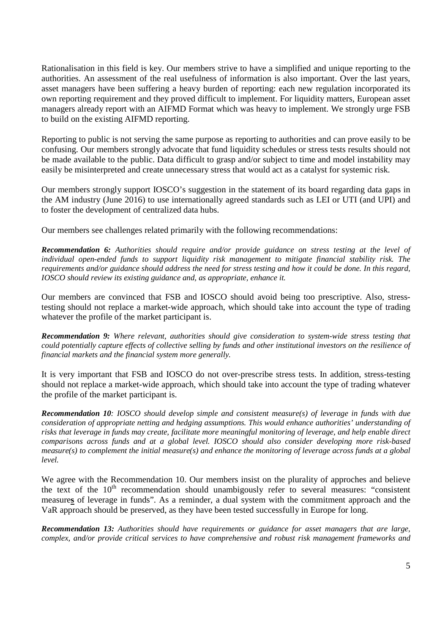Rationalisation in this field is key. Our members strive to have a simplified and unique reporting to the authorities. An assessment of the real usefulness of information is also important. Over the last years, asset managers have been suffering a heavy burden of reporting: each new regulation incorporated its own reporting requirement and they proved difficult to implement. For liquidity matters, European asset managers already report with an AIFMD Format which was heavy to implement. We strongly urge FSB to build on the existing AIFMD reporting.

Reporting to public is not serving the same purpose as reporting to authorities and can prove easily to be confusing. Our members strongly advocate that fund liquidity schedules or stress tests results should not be made available to the public. Data difficult to grasp and/or subject to time and model instability may easily be misinterpreted and create unnecessary stress that would act as a catalyst for systemic risk.

Our members strongly support IOSCO's suggestion in the statement of its board regarding data gaps in the AM industry (June 2016) to use internationally agreed standards such as LEI or UTI (and UPI) and to foster the development of centralized data hubs.

Our members see challenges related primarily with the following recommendations:

*Recommendation 6: Authorities should require and/or provide guidance on stress testing at the level of individual open-ended funds to support liquidity risk management to mitigate financial stability risk. The requirements and/or guidance should address the need for stress testing and how it could be done. In this regard, IOSCO should review its existing guidance and, as appropriate, enhance it.* 

Our members are convinced that FSB and IOSCO should avoid being too prescriptive. Also, stresstesting should not replace a market-wide approach, which should take into account the type of trading whatever the profile of the market participant is.

*Recommendation 9: Where relevant, authorities should give consideration to system-wide stress testing that could potentially capture effects of collective selling by funds and other institutional investors on the resilience of financial markets and the financial system more generally.* 

It is very important that FSB and IOSCO do not over-prescribe stress tests. In addition, stress-testing should not replace a market-wide approach, which should take into account the type of trading whatever the profile of the market participant is.

*Recommendation 10: IOSCO should develop simple and consistent measure(s) of leverage in funds with due consideration of appropriate netting and hedging assumptions. This would enhance authorities' understanding of risks that leverage in funds may create, facilitate more meaningful monitoring of leverage, and help enable direct comparisons across funds and at a global level. IOSCO should also consider developing more risk-based measure(s) to complement the initial measure(s) and enhance the monitoring of leverage across funds at a global level.* 

We agree with the Recommendation 10. Our members insist on the plurality of approches and believe the text of the  $10<sup>th</sup>$  recommendation should unambigously refer to several measures: "consistent measure**s** of leverage in funds". As a reminder, a dual system with the commitment approach and the VaR approach should be preserved, as they have been tested successfully in Europe for long.

*Recommendation 13: Authorities should have requirements or guidance for asset managers that are large, complex, and/or provide critical services to have comprehensive and robust risk management frameworks and*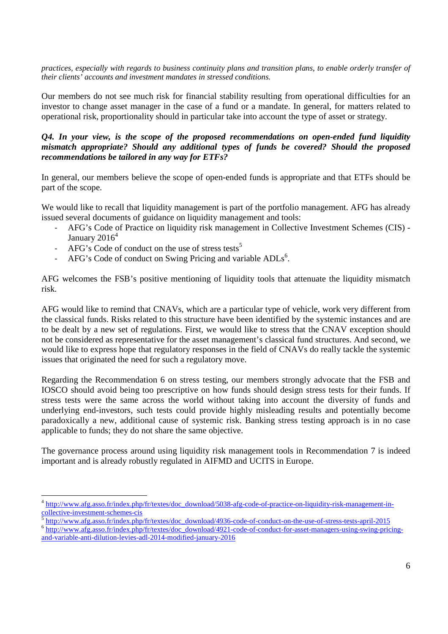*practices, especially with regards to business continuity plans and transition plans, to enable orderly transfer of their clients' accounts and investment mandates in stressed conditions.* 

Our members do not see much risk for financial stability resulting from operational difficulties for an investor to change asset manager in the case of a fund or a mandate. In general, for matters related to operational risk, proportionality should in particular take into account the type of asset or strategy.

### *Q4. In your view, is the scope of the proposed recommendations on open-ended fund liquidity mismatch appropriate? Should any additional types of funds be covered? Should the proposed recommendations be tailored in any way for ETFs?*

In general, our members believe the scope of open-ended funds is appropriate and that ETFs should be part of the scope.

We would like to recall that liquidity management is part of the portfolio management. AFG has already issued several documents of guidance on liquidity management and tools:

- AFG's Code of Practice on liquidity risk management in Collective Investment Schemes (CIS) January 2016 $4$
- AFG's Code of conduct on the use of stress tests<sup>5</sup>

-

- AFG's Code of conduct on Swing Pricing and variable ADLs<sup>6</sup>.

AFG welcomes the FSB's positive mentioning of liquidity tools that attenuate the liquidity mismatch risk.

AFG would like to remind that CNAVs, which are a particular type of vehicle, work very different from the classical funds. Risks related to this structure have been identified by the systemic instances and are to be dealt by a new set of regulations. First, we would like to stress that the CNAV exception should not be considered as representative for the asset management's classical fund structures. And second, we would like to express hope that regulatory responses in the field of CNAVs do really tackle the systemic issues that originated the need for such a regulatory move.

Regarding the Recommendation 6 on stress testing, our members strongly advocate that the FSB and IOSCO should avoid being too prescriptive on how funds should design stress tests for their funds. If stress tests were the same across the world without taking into account the diversity of funds and underlying end-investors, such tests could provide highly misleading results and potentially become paradoxically a new, additional cause of systemic risk. Banking stress testing approach is in no case applicable to funds; they do not share the same objective.

The governance process around using liquidity risk management tools in Recommendation 7 is indeed important and is already robustly regulated in AIFMD and UCITS in Europe.

<sup>&</sup>lt;sup>4</sup> http://www.afg.asso.fr/index.php/fr/textes/doc\_download/5038-afg-code-of-practice-on-liquidity-risk-management-incollective-investment-schemes-cis

http://www.afg.asso.fr/index.php/fr/textes/doc\_download/4936-code-of-conduct-on-the-use-of-stress-tests-april-2015

<sup>&</sup>lt;sup>6</sup> http://www.afg.asso.fr/index.php/fr/textes/doc\_download/4921-code-of-conduct-for-asset-managers-using-swing-pricingand-variable-anti-dilution-levies-adl-2014-modified-january-2016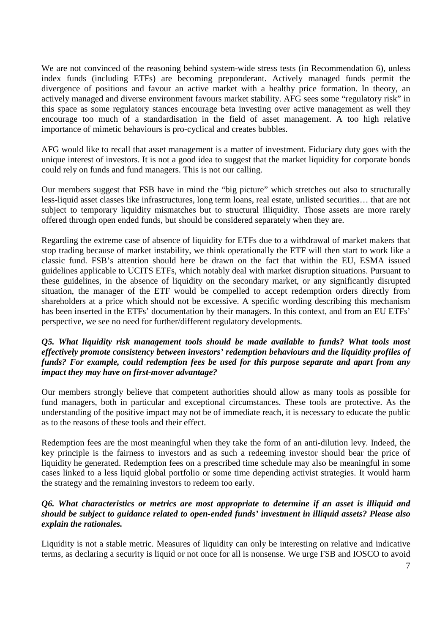We are not convinced of the reasoning behind system-wide stress tests (in Recommendation 6), unless index funds (including ETFs) are becoming preponderant. Actively managed funds permit the divergence of positions and favour an active market with a healthy price formation. In theory, an actively managed and diverse environment favours market stability. AFG sees some "regulatory risk" in this space as some regulatory stances encourage beta investing over active management as well they encourage too much of a standardisation in the field of asset management. A too high relative importance of mimetic behaviours is pro-cyclical and creates bubbles.

AFG would like to recall that asset management is a matter of investment. Fiduciary duty goes with the unique interest of investors. It is not a good idea to suggest that the market liquidity for corporate bonds could rely on funds and fund managers. This is not our calling.

Our members suggest that FSB have in mind the "big picture" which stretches out also to structurally less-liquid asset classes like infrastructures, long term loans, real estate, unlisted securities… that are not subject to temporary liquidity mismatches but to structural illiquidity. Those assets are more rarely offered through open ended funds, but should be considered separately when they are.

Regarding the extreme case of absence of liquidity for ETFs due to a withdrawal of market makers that stop trading because of market instability, we think operationally the ETF will then start to work like a classic fund. FSB's attention should here be drawn on the fact that within the EU, ESMA issued guidelines applicable to UCITS ETFs, which notably deal with market disruption situations. Pursuant to these guidelines, in the absence of liquidity on the secondary market, or any significantly disrupted situation, the manager of the ETF would be compelled to accept redemption orders directly from shareholders at a price which should not be excessive. A specific wording describing this mechanism has been inserted in the ETFs' documentation by their managers. In this context, and from an EU ETFs' perspective, we see no need for further/different regulatory developments.

## *Q5. What liquidity risk management tools should be made available to funds? What tools most effectively promote consistency between investors' redemption behaviours and the liquidity profiles of funds? For example, could redemption fees be used for this purpose separate and apart from any impact they may have on first-mover advantage?*

Our members strongly believe that competent authorities should allow as many tools as possible for fund managers, both in particular and exceptional circumstances. These tools are protective. As the understanding of the positive impact may not be of immediate reach, it is necessary to educate the public as to the reasons of these tools and their effect.

Redemption fees are the most meaningful when they take the form of an anti-dilution levy. Indeed, the key principle is the fairness to investors and as such a redeeming investor should bear the price of liquidity he generated. Redemption fees on a prescribed time schedule may also be meaningful in some cases linked to a less liquid global portfolio or some time depending activist strategies. It would harm the strategy and the remaining investors to redeem too early.

## *Q6. What characteristics or metrics are most appropriate to determine if an asset is illiquid and should be subject to guidance related to open-ended funds' investment in illiquid assets? Please also explain the rationales.*

Liquidity is not a stable metric. Measures of liquidity can only be interesting on relative and indicative terms, as declaring a security is liquid or not once for all is nonsense. We urge FSB and IOSCO to avoid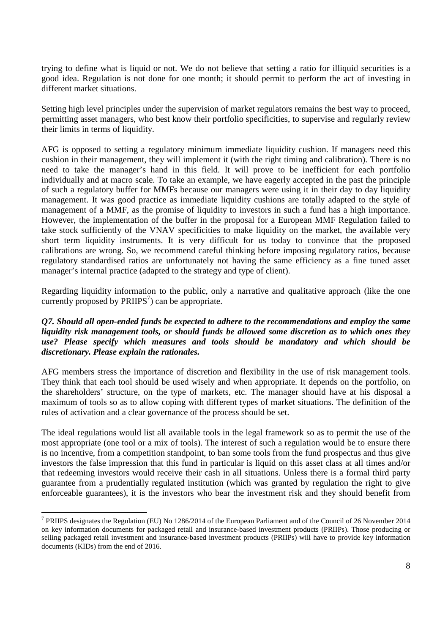trying to define what is liquid or not. We do not believe that setting a ratio for illiquid securities is a good idea. Regulation is not done for one month; it should permit to perform the act of investing in different market situations.

Setting high level principles under the supervision of market regulators remains the best way to proceed, permitting asset managers, who best know their portfolio specificities, to supervise and regularly review their limits in terms of liquidity.

AFG is opposed to setting a regulatory minimum immediate liquidity cushion. If managers need this cushion in their management, they will implement it (with the right timing and calibration). There is no need to take the manager's hand in this field. It will prove to be inefficient for each portfolio individually and at macro scale. To take an example, we have eagerly accepted in the past the principle of such a regulatory buffer for MMFs because our managers were using it in their day to day liquidity management. It was good practice as immediate liquidity cushions are totally adapted to the style of management of a MMF, as the promise of liquidity to investors in such a fund has a high importance. However, the implementation of the buffer in the proposal for a European MMF Regulation failed to take stock sufficiently of the VNAV specificities to make liquidity on the market, the available very short term liquidity instruments. It is very difficult for us today to convince that the proposed calibrations are wrong. So, we recommend careful thinking before imposing regulatory ratios, because regulatory standardised ratios are unfortunately not having the same efficiency as a fine tuned asset manager's internal practice (adapted to the strategy and type of client).

Regarding liquidity information to the public, only a narrative and qualitative approach (like the one currently proposed by  $PRIIPS<sup>7</sup>$  can be appropriate.

### *Q7. Should all open-ended funds be expected to adhere to the recommendations and employ the same liquidity risk management tools, or should funds be allowed some discretion as to which ones they use? Please specify which measures and tools should be mandatory and which should be discretionary. Please explain the rationales.*

AFG members stress the importance of discretion and flexibility in the use of risk management tools. They think that each tool should be used wisely and when appropriate. It depends on the portfolio, on the shareholders' structure, on the type of markets, etc. The manager should have at his disposal a maximum of tools so as to allow coping with different types of market situations. The definition of the rules of activation and a clear governance of the process should be set.

The ideal regulations would list all available tools in the legal framework so as to permit the use of the most appropriate (one tool or a mix of tools). The interest of such a regulation would be to ensure there is no incentive, from a competition standpoint, to ban some tools from the fund prospectus and thus give investors the false impression that this fund in particular is liquid on this asset class at all times and/or that redeeming investors would receive their cash in all situations. Unless there is a formal third party guarantee from a prudentially regulated institution (which was granted by regulation the right to give enforceable guarantees), it is the investors who bear the investment risk and they should benefit from

<sup>&</sup>lt;sup>7</sup> PRIIPS designates the Regulation (EU) No 1286/2014 of the European Parliament and of the Council of 26 November 2014 on key information documents for packaged retail and insurance-based investment products (PRIIPs). Those producing or selling packaged retail investment and insurance-based investment products (PRIIPs) will have to provide key information documents (KIDs) from the end of 2016.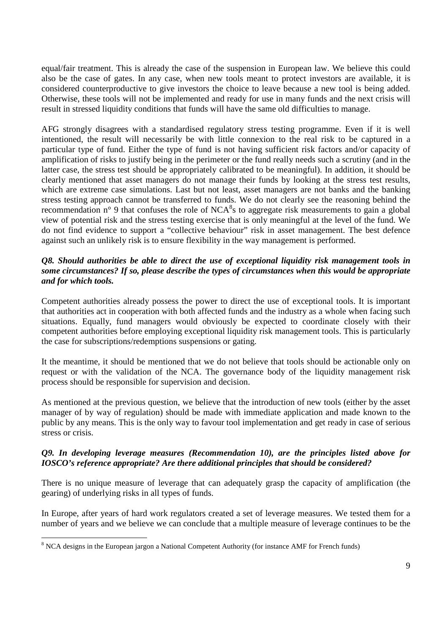equal/fair treatment. This is already the case of the suspension in European law. We believe this could also be the case of gates. In any case, when new tools meant to protect investors are available, it is considered counterproductive to give investors the choice to leave because a new tool is being added. Otherwise, these tools will not be implemented and ready for use in many funds and the next crisis will result in stressed liquidity conditions that funds will have the same old difficulties to manage.

AFG strongly disagrees with a standardised regulatory stress testing programme. Even if it is well intentioned, the result will necessarily be with little connexion to the real risk to be captured in a particular type of fund. Either the type of fund is not having sufficient risk factors and/or capacity of amplification of risks to justify being in the perimeter or the fund really needs such a scrutiny (and in the latter case, the stress test should be appropriately calibrated to be meaningful). In addition, it should be clearly mentioned that asset managers do not manage their funds by looking at the stress test results, which are extreme case simulations. Last but not least, asset managers are not banks and the banking stress testing approach cannot be transferred to funds. We do not clearly see the reasoning behind the recommendation  $n^{\circ}$  9 that confuses the role of NCA<sup>8</sup>s to aggregate risk measurements to gain a global view of potential risk and the stress testing exercise that is only meaningful at the level of the fund. We do not find evidence to support a "collective behaviour" risk in asset management. The best defence against such an unlikely risk is to ensure flexibility in the way management is performed.

# *Q8. Should authorities be able to direct the use of exceptional liquidity risk management tools in some circumstances? If so, please describe the types of circumstances when this would be appropriate and for which tools.*

Competent authorities already possess the power to direct the use of exceptional tools. It is important that authorities act in cooperation with both affected funds and the industry as a whole when facing such situations. Equally, fund managers would obviously be expected to coordinate closely with their competent authorities before employing exceptional liquidity risk management tools. This is particularly the case for subscriptions/redemptions suspensions or gating.

It the meantime, it should be mentioned that we do not believe that tools should be actionable only on request or with the validation of the NCA. The governance body of the liquidity management risk process should be responsible for supervision and decision.

As mentioned at the previous question, we believe that the introduction of new tools (either by the asset manager of by way of regulation) should be made with immediate application and made known to the public by any means. This is the only way to favour tool implementation and get ready in case of serious stress or crisis.

# *Q9. In developing leverage measures (Recommendation 10), are the principles listed above for IOSCO's reference appropriate? Are there additional principles that should be considered?*

There is no unique measure of leverage that can adequately grasp the capacity of amplification (the gearing) of underlying risks in all types of funds.

In Europe, after years of hard work regulators created a set of leverage measures. We tested them for a number of years and we believe we can conclude that a multiple measure of leverage continues to be the

<sup>&</sup>lt;sup>8</sup> NCA designs in the European jargon a National Competent Authority (for instance AMF for French funds)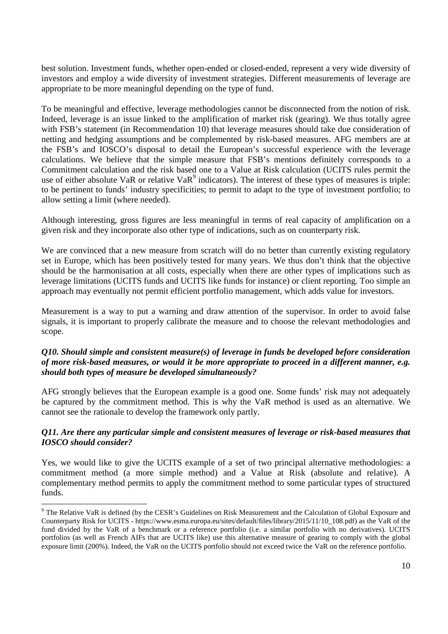best solution. Investment funds, whether open-ended or closed-ended, represent a very wide diversity of investors and employ a wide diversity of investment strategies. Different measurements of leverage are appropriate to be more meaningful depending on the type of fund.

To be meaningful and effective, leverage methodologies cannot be disconnected from the notion of risk. Indeed, leverage is an issue linked to the amplification of market risk (gearing). We thus totally agree with FSB's statement (in Recommendation 10) that leverage measures should take due consideration of netting and hedging assumptions and be complemented by risk-based measures. AFG members are at the FSB's and IOSCO's disposal to detail the European's successful experience with the leverage calculations. We believe that the simple measure that FSB's mentions definitely corresponds to a Commitment calculation and the risk based one to a Value at Risk calculation (UCITS rules permit the use of either absolute VaR or relative Va $R^9$  indicators). The interest of these types of measures is triple: to be pertinent to funds' industry specificities; to permit to adapt to the type of investment portfolio; to allow setting a limit (where needed).

Although interesting, gross figures are less meaningful in terms of real capacity of amplification on a given risk and they incorporate also other type of indications, such as on counterparty risk.

We are convinced that a new measure from scratch will do no better than currently existing regulatory set in Europe, which has been positively tested for many years. We thus don't think that the objective should be the harmonisation at all costs, especially when there are other types of implications such as leverage limitations (UCITS funds and UCITS like funds for instance) or client reporting. Too simple an approach may eventually not permit efficient portfolio management, which adds value for investors.

Measurement is a way to put a warning and draw attention of the supervisor. In order to avoid false signals, it is important to properly calibrate the measure and to choose the relevant methodologies and scope.

### *Q10. Should simple and consistent measure(s) of leverage in funds be developed before consideration of more risk-based measures, or would it be more appropriate to proceed in a different manner, e.g. should both types of measure be developed simultaneously?*

AFG strongly believes that the European example is a good one. Some funds' risk may not adequately be captured by the commitment method. This is why the VaR method is used as an alternative. We cannot see the rationale to develop the framework only partly.

# *Q11. Are there any particular simple and consistent measures of leverage or risk-based measures that IOSCO should consider?*

Yes, we would like to give the UCITS example of a set of two principal alternative methodologies: a commitment method (a more simple method) and a Value at Risk (absolute and relative). A complementary method permits to apply the commitment method to some particular types of structured funds.

The Relative VaR is defined (by the CESR's Guidelines on Risk Measurement and the Calculation of Global Exposure and<br><sup>9</sup> The Relative VaR is defined (by the CESR's Guidelines on Risk Measurement and the Calculation of Glob Counterparty Risk for UCITS - https://www.esma.europa.eu/sites/default/files/library/2015/11/10\_108.pdf) as the VaR of the fund divided by the VaR of a benchmark or a reference portfolio (i.e. a similar portfolio with no derivatives). UCITS portfolios (as well as French AIFs that are UCITS like) use this alternative measure of gearing to comply with the global exposure limit (200%). Indeed, the VaR on the UCITS portfolio should not exceed twice the VaR on the reference portfolio.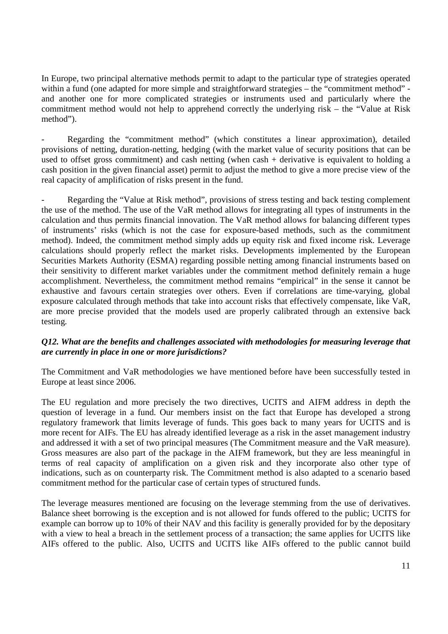In Europe, two principal alternative methods permit to adapt to the particular type of strategies operated within a fund (one adapted for more simple and straightforward strategies – the "commitment method" and another one for more complicated strategies or instruments used and particularly where the commitment method would not help to apprehend correctly the underlying risk – the "Value at Risk method").

Regarding the "commitment method" (which constitutes a linear approximation), detailed provisions of netting, duration-netting, hedging (with the market value of security positions that can be used to offset gross commitment) and cash netting (when cash + derivative is equivalent to holding a cash position in the given financial asset) permit to adjust the method to give a more precise view of the real capacity of amplification of risks present in the fund.

Regarding the "Value at Risk method", provisions of stress testing and back testing complement the use of the method. The use of the VaR method allows for integrating all types of instruments in the calculation and thus permits financial innovation. The VaR method allows for balancing different types of instruments' risks (which is not the case for exposure-based methods, such as the commitment method). Indeed, the commitment method simply adds up equity risk and fixed income risk. Leverage calculations should properly reflect the market risks. Developments implemented by the European Securities Markets Authority (ESMA) regarding possible netting among financial instruments based on their sensitivity to different market variables under the commitment method definitely remain a huge accomplishment. Nevertheless, the commitment method remains "empirical" in the sense it cannot be exhaustive and favours certain strategies over others. Even if correlations are time-varying, global exposure calculated through methods that take into account risks that effectively compensate, like VaR, are more precise provided that the models used are properly calibrated through an extensive back testing.

# *Q12. What are the benefits and challenges associated with methodologies for measuring leverage that are currently in place in one or more jurisdictions?*

The Commitment and VaR methodologies we have mentioned before have been successfully tested in Europe at least since 2006.

The EU regulation and more precisely the two directives, UCITS and AIFM address in depth the question of leverage in a fund. Our members insist on the fact that Europe has developed a strong regulatory framework that limits leverage of funds. This goes back to many years for UCITS and is more recent for AIFs. The EU has already identified leverage as a risk in the asset management industry and addressed it with a set of two principal measures (The Commitment measure and the VaR measure). Gross measures are also part of the package in the AIFM framework, but they are less meaningful in terms of real capacity of amplification on a given risk and they incorporate also other type of indications, such as on counterparty risk. The Commitment method is also adapted to a scenario based commitment method for the particular case of certain types of structured funds.

The leverage measures mentioned are focusing on the leverage stemming from the use of derivatives. Balance sheet borrowing is the exception and is not allowed for funds offered to the public; UCITS for example can borrow up to 10% of their NAV and this facility is generally provided for by the depositary with a view to heal a breach in the settlement process of a transaction; the same applies for UCITS like AIFs offered to the public. Also, UCITS and UCITS like AIFs offered to the public cannot build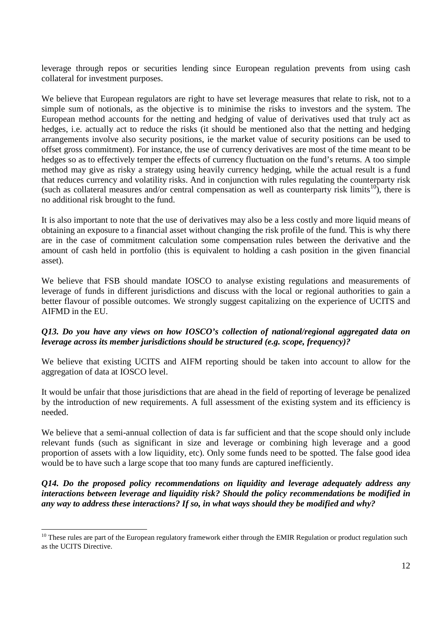leverage through repos or securities lending since European regulation prevents from using cash collateral for investment purposes.

We believe that European regulators are right to have set leverage measures that relate to risk, not to a simple sum of notionals, as the objective is to minimise the risks to investors and the system. The European method accounts for the netting and hedging of value of derivatives used that truly act as hedges, i.e. actually act to reduce the risks (it should be mentioned also that the netting and hedging arrangements involve also security positions, ie the market value of security positions can be used to offset gross commitment). For instance, the use of currency derivatives are most of the time meant to be hedges so as to effectively temper the effects of currency fluctuation on the fund's returns. A too simple method may give as risky a strategy using heavily currency hedging, while the actual result is a fund that reduces currency and volatility risks. And in conjunction with rules regulating the counterparty risk (such as collateral measures and/or central compensation as well as counterparty risk limits<sup>10</sup>), there is no additional risk brought to the fund.

It is also important to note that the use of derivatives may also be a less costly and more liquid means of obtaining an exposure to a financial asset without changing the risk profile of the fund. This is why there are in the case of commitment calculation some compensation rules between the derivative and the amount of cash held in portfolio (this is equivalent to holding a cash position in the given financial asset).

We believe that FSB should mandate IOSCO to analyse existing regulations and measurements of leverage of funds in different jurisdictions and discuss with the local or regional authorities to gain a better flavour of possible outcomes. We strongly suggest capitalizing on the experience of UCITS and AIFMD in the EU.

### *Q13. Do you have any views on how IOSCO's collection of national/regional aggregated data on leverage across its member jurisdictions should be structured (e.g. scope, frequency)?*

We believe that existing UCITS and AIFM reporting should be taken into account to allow for the aggregation of data at IOSCO level.

It would be unfair that those jurisdictions that are ahead in the field of reporting of leverage be penalized by the introduction of new requirements. A full assessment of the existing system and its efficiency is needed.

We believe that a semi-annual collection of data is far sufficient and that the scope should only include relevant funds (such as significant in size and leverage or combining high leverage and a good proportion of assets with a low liquidity, etc). Only some funds need to be spotted. The false good idea would be to have such a large scope that too many funds are captured inefficiently.

*Q14. Do the proposed policy recommendations on liquidity and leverage adequately address any interactions between leverage and liquidity risk? Should the policy recommendations be modified in any way to address these interactions? If so, in what ways should they be modified and why?* 

<sup>&</sup>lt;sup>10</sup> These rules are part of the European regulatory framework either through the EMIR Regulation or product regulation such as the UCITS Directive.